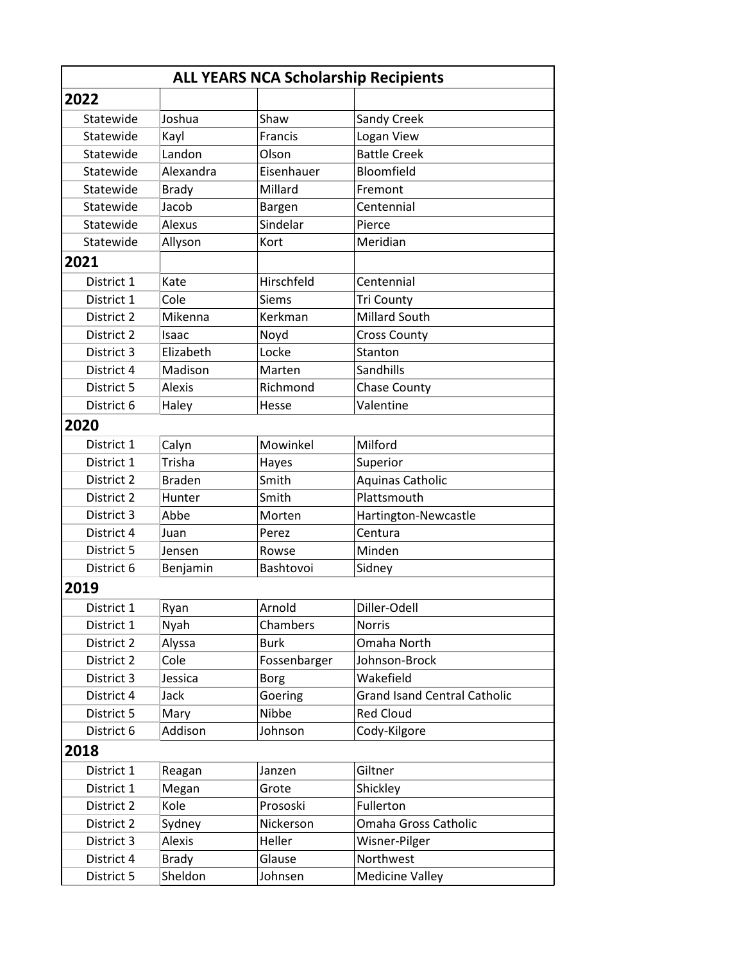| <b>ALL YEARS NCA Scholarship Recipients</b> |               |              |                                     |  |  |
|---------------------------------------------|---------------|--------------|-------------------------------------|--|--|
| 2022                                        |               |              |                                     |  |  |
| Statewide                                   | Joshua        | Shaw         | Sandy Creek                         |  |  |
| Statewide                                   | Kayl          | Francis      | Logan View                          |  |  |
| Statewide                                   | Landon        | Olson        | <b>Battle Creek</b>                 |  |  |
| Statewide                                   | Alexandra     | Eisenhauer   | Bloomfield                          |  |  |
| Statewide                                   | <b>Brady</b>  | Millard      | Fremont                             |  |  |
| Statewide                                   | Jacob         | Bargen       | Centennial                          |  |  |
| Statewide                                   | Alexus        | Sindelar     | Pierce                              |  |  |
| Statewide                                   | Allyson       | Kort         | Meridian                            |  |  |
| 2021                                        |               |              |                                     |  |  |
| District 1                                  | Kate          | Hirschfeld   | Centennial                          |  |  |
| District 1                                  | Cole          | Siems        | <b>Tri County</b>                   |  |  |
| District 2                                  | Mikenna       | Kerkman      | Millard South                       |  |  |
| District 2                                  | Isaac         | Noyd         | <b>Cross County</b>                 |  |  |
| District 3                                  | Elizabeth     | Locke        | Stanton                             |  |  |
| District 4                                  | Madison       | Marten       | Sandhills                           |  |  |
| District 5                                  | <b>Alexis</b> | Richmond     | <b>Chase County</b>                 |  |  |
| District 6                                  | Haley         | Hesse        | Valentine                           |  |  |
| 2020                                        |               |              |                                     |  |  |
| District 1                                  | Calyn         | Mowinkel     | Milford                             |  |  |
| District 1                                  | Trisha        | Hayes        | Superior                            |  |  |
| District 2                                  | <b>Braden</b> | Smith        | <b>Aquinas Catholic</b>             |  |  |
| District 2                                  | Hunter        | Smith        | Plattsmouth                         |  |  |
| District 3                                  | Abbe          | Morten       | Hartington-Newcastle                |  |  |
| District 4                                  | Juan          | Perez        | Centura                             |  |  |
| District 5                                  | Jensen        | Rowse        | Minden                              |  |  |
| District 6                                  | Benjamin      | Bashtovoi    | Sidney                              |  |  |
| 2019                                        |               |              |                                     |  |  |
| District 1                                  | Ryan          | Arnold       | Diller-Odell                        |  |  |
| District 1                                  | Nyah          | Chambers     | <b>Norris</b>                       |  |  |
| District 2                                  | Alyssa        | <b>Burk</b>  | Omaha North                         |  |  |
| District 2                                  | Cole          | Fossenbarger | Johnson-Brock                       |  |  |
| District 3                                  | Jessica       | <b>Borg</b>  | Wakefield                           |  |  |
| District 4                                  | Jack          | Goering      | <b>Grand Isand Central Catholic</b> |  |  |
| District 5                                  | Mary          | Nibbe        | <b>Red Cloud</b>                    |  |  |
| District 6                                  | Addison       | Johnson      | Cody-Kilgore                        |  |  |
| 2018                                        |               |              |                                     |  |  |
| District 1                                  | Reagan        | Janzen       | Giltner                             |  |  |
| District 1                                  | Megan         | Grote        | Shickley                            |  |  |
| District 2                                  | Kole          | Prososki     | Fullerton                           |  |  |
| District 2                                  | Sydney        | Nickerson    | Omaha Gross Catholic                |  |  |
| District 3                                  | <b>Alexis</b> | Heller       | Wisner-Pilger                       |  |  |
| District 4                                  | <b>Brady</b>  | Glause       | Northwest                           |  |  |
| District 5                                  | Sheldon       | Johnsen      | <b>Medicine Valley</b>              |  |  |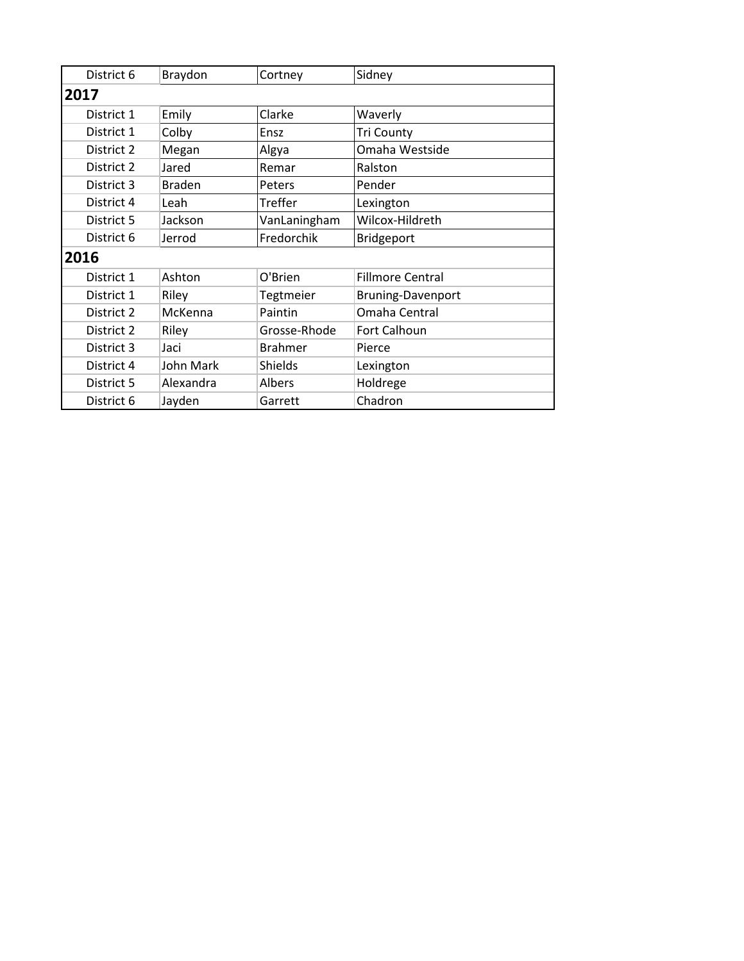| District 6 | Braydon       | Cortney        | Sidney                   |  |
|------------|---------------|----------------|--------------------------|--|
| 2017       |               |                |                          |  |
| District 1 | Emily         | Clarke         | Waverly                  |  |
| District 1 | Colby         | Ensz           | <b>Tri County</b>        |  |
| District 2 | Megan         | Algya          | Omaha Westside           |  |
| District 2 | Jared         | Remar          | Ralston                  |  |
| District 3 | <b>Braden</b> | Peters         | Pender                   |  |
| District 4 | Leah          | Treffer        | Lexington                |  |
| District 5 | Jackson       | VanLaningham   | Wilcox-Hildreth          |  |
| District 6 | Jerrod        | Fredorchik     | Bridgeport               |  |
| 2016       |               |                |                          |  |
| District 1 | Ashton        | O'Brien        | <b>Fillmore Central</b>  |  |
| District 1 | Riley         | Tegtmeier      | <b>Bruning-Davenport</b> |  |
| District 2 | McKenna       | Paintin        | Omaha Central            |  |
| District 2 | Riley         | Grosse-Rhode   | Fort Calhoun             |  |
| District 3 | Jaci          | <b>Brahmer</b> | Pierce                   |  |
| District 4 | John Mark     | Shields        | Lexington                |  |
| District 5 | Alexandra     | Albers         | Holdrege                 |  |
| District 6 | Jayden        | Garrett        | Chadron                  |  |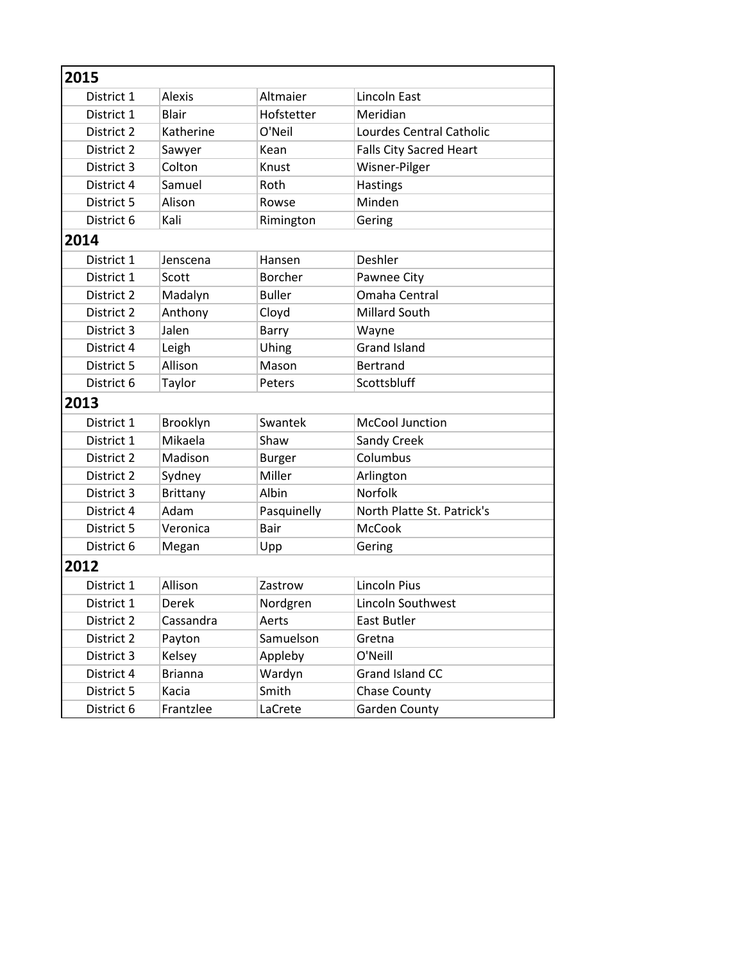| 2015       |                 |                |                                |  |
|------------|-----------------|----------------|--------------------------------|--|
| District 1 | <b>Alexis</b>   | Altmaier       | Lincoln East                   |  |
| District 1 | <b>Blair</b>    | Hofstetter     | Meridian                       |  |
| District 2 | Katherine       | O'Neil         | Lourdes Central Catholic       |  |
| District 2 | Sawyer          | Kean           | <b>Falls City Sacred Heart</b> |  |
| District 3 | Colton          | Knust          | Wisner-Pilger                  |  |
| District 4 | Samuel          | Roth           | Hastings                       |  |
| District 5 | Alison          | Rowse          | Minden                         |  |
| District 6 | Kali            | Rimington      | Gering                         |  |
| 2014       |                 |                |                                |  |
| District 1 | Jenscena        | Hansen         | Deshler                        |  |
| District 1 | Scott           | <b>Borcher</b> | Pawnee City                    |  |
| District 2 | Madalyn         | <b>Buller</b>  | Omaha Central                  |  |
| District 2 | Anthony         | Cloyd          | <b>Millard South</b>           |  |
| District 3 | Jalen           | Barry          | Wayne                          |  |
| District 4 | Leigh           | Uhing          | <b>Grand Island</b>            |  |
| District 5 | Allison         | Mason          | <b>Bertrand</b>                |  |
| District 6 | Taylor          | Peters         | Scottsbluff                    |  |
| 2013       |                 |                |                                |  |
| District 1 | Brooklyn        | Swantek        | <b>McCool Junction</b>         |  |
| District 1 | Mikaela         | Shaw           | Sandy Creek                    |  |
| District 2 | Madison         | <b>Burger</b>  | Columbus                       |  |
| District 2 | Sydney          | Miller         | Arlington                      |  |
| District 3 | <b>Brittany</b> | Albin          | Norfolk                        |  |
| District 4 | Adam            | Pasquinelly    | North Platte St. Patrick's     |  |
| District 5 | Veronica        | Bair           | <b>McCook</b>                  |  |
| District 6 | Megan           | Upp            | Gering                         |  |
| 2012       |                 |                |                                |  |
| District 1 | Allison         | Zastrow        | <b>Lincoln Pius</b>            |  |
| District 1 | Derek           | Nordgren       | Lincoln Southwest              |  |
| District 2 | Cassandra       | Aerts          | East Butler                    |  |
| District 2 | Payton          | Samuelson      | Gretna                         |  |
| District 3 | Kelsey          | Appleby        | O'Neill                        |  |
| District 4 | <b>Brianna</b>  | Wardyn         | Grand Island CC                |  |
| District 5 | Kacia           | Smith          | <b>Chase County</b>            |  |
| District 6 | Frantzlee       | LaCrete        | <b>Garden County</b>           |  |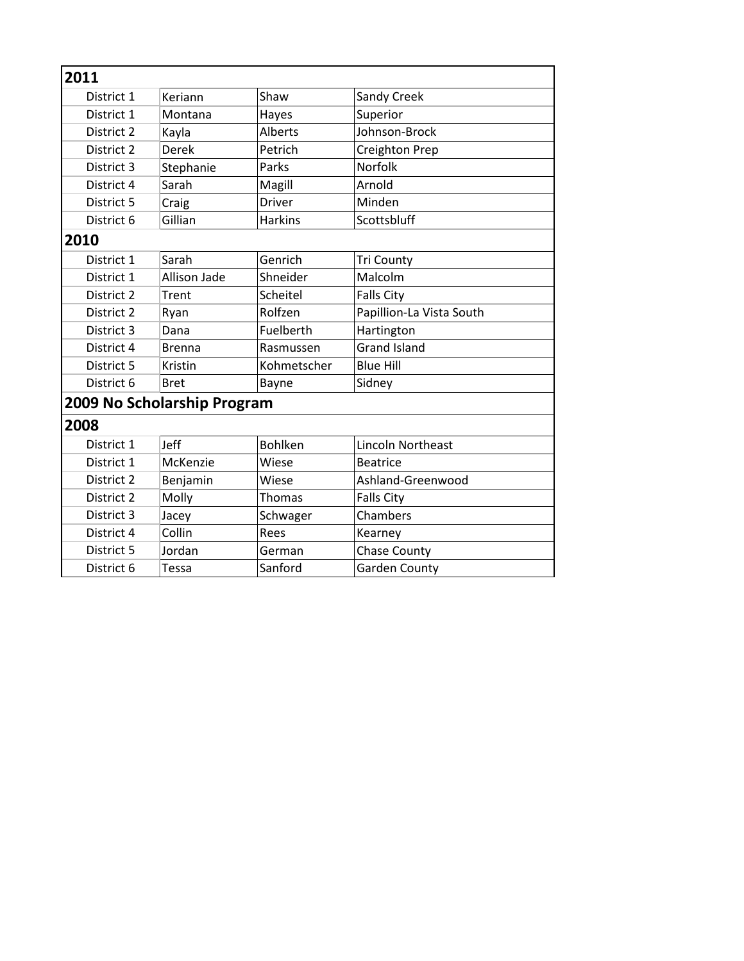| 2011       |                             |                |                          |
|------------|-----------------------------|----------------|--------------------------|
| District 1 | Keriann                     | Shaw           | Sandy Creek              |
| District 1 | Montana                     | Hayes          | Superior                 |
| District 2 | Kayla                       | Alberts        | Johnson-Brock            |
| District 2 | Derek                       | Petrich        | Creighton Prep           |
| District 3 | Stephanie                   | Parks          | Norfolk                  |
| District 4 | Sarah                       | Magill         | Arnold                   |
| District 5 | Craig                       | <b>Driver</b>  | Minden                   |
| District 6 | Gillian                     | <b>Harkins</b> | Scottsbluff              |
| 2010       |                             |                |                          |
| District 1 | Sarah                       | Genrich        | <b>Tri County</b>        |
| District 1 | <b>Allison Jade</b>         | Shneider       | Malcolm                  |
| District 2 | Trent                       | Scheitel       | <b>Falls City</b>        |
| District 2 | Ryan                        | Rolfzen        | Papillion-La Vista South |
| District 3 | Dana                        | Fuelberth      | Hartington               |
| District 4 | <b>Brenna</b>               | Rasmussen      | <b>Grand Island</b>      |
| District 5 | Kristin                     | Kohmetscher    | <b>Blue Hill</b>         |
| District 6 | <b>Bret</b>                 | Bayne          | Sidney                   |
|            | 2009 No Scholarship Program |                |                          |
| 2008       |                             |                |                          |
| District 1 | Jeff                        | <b>Bohlken</b> | Lincoln Northeast        |
| District 1 | McKenzie                    | Wiese          | <b>Beatrice</b>          |
| District 2 | Benjamin                    | Wiese          | Ashland-Greenwood        |
| District 2 | Molly                       | Thomas         | <b>Falls City</b>        |
| District 3 | Jacey                       | Schwager       | Chambers                 |
| District 4 | Collin                      | Rees           | Kearney                  |
| District 5 | Jordan                      | German         | <b>Chase County</b>      |
| District 6 | Tessa                       | Sanford        | <b>Garden County</b>     |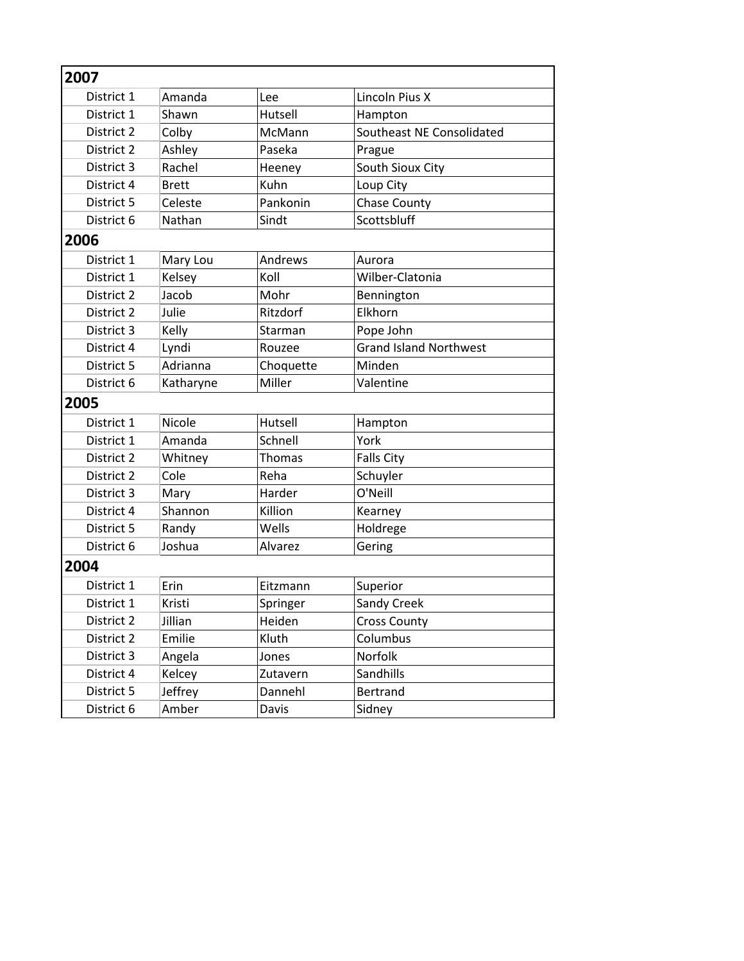| 2007       |              |           |                               |  |  |
|------------|--------------|-----------|-------------------------------|--|--|
| District 1 | Amanda       | Lee       | Lincoln Pius X                |  |  |
| District 1 | Shawn        | Hutsell   | Hampton                       |  |  |
| District 2 | Colby        | McMann    | Southeast NE Consolidated     |  |  |
| District 2 | Ashley       | Paseka    | Prague                        |  |  |
| District 3 | Rachel       | Heeney    | South Sioux City              |  |  |
| District 4 | <b>Brett</b> | Kuhn      | Loup City                     |  |  |
| District 5 | Celeste      | Pankonin  | <b>Chase County</b>           |  |  |
| District 6 | Nathan       | Sindt     | Scottsbluff                   |  |  |
| 2006       |              |           |                               |  |  |
| District 1 | Mary Lou     | Andrews   | Aurora                        |  |  |
| District 1 | Kelsey       | Koll      | Wilber-Clatonia               |  |  |
| District 2 | Jacob        | Mohr      | Bennington                    |  |  |
| District 2 | Julie        | Ritzdorf  | Elkhorn                       |  |  |
| District 3 | Kelly        | Starman   | Pope John                     |  |  |
| District 4 | Lyndi        | Rouzee    | <b>Grand Island Northwest</b> |  |  |
| District 5 | Adrianna     | Choquette | Minden                        |  |  |
| District 6 | Katharyne    | Miller    | Valentine                     |  |  |
| 2005       |              |           |                               |  |  |
| District 1 | Nicole       | Hutsell   | Hampton                       |  |  |
| District 1 | Amanda       | Schnell   | York                          |  |  |
| District 2 | Whitney      | Thomas    | <b>Falls City</b>             |  |  |
| District 2 | Cole         | Reha      | Schuyler                      |  |  |
| District 3 | Mary         | Harder    | O'Neill                       |  |  |
| District 4 | Shannon      | Killion   | Kearney                       |  |  |
| District 5 | Randy        | Wells     | Holdrege                      |  |  |
| District 6 | Joshua       | Alvarez   | Gering                        |  |  |
| 2004       |              |           |                               |  |  |
| District 1 | Erin         | Eitzmann  | Superior                      |  |  |
| District 1 | Kristi       | Springer  | Sandy Creek                   |  |  |
| District 2 | Jillian      | Heiden    | <b>Cross County</b>           |  |  |
| District 2 | Emilie       | Kluth     | Columbus                      |  |  |
| District 3 | Angela       | Jones     | Norfolk                       |  |  |
| District 4 | Kelcey       | Zutavern  | Sandhills                     |  |  |
| District 5 | Jeffrey      | Dannehl   | Bertrand                      |  |  |
| District 6 | Amber        | Davis     | Sidney                        |  |  |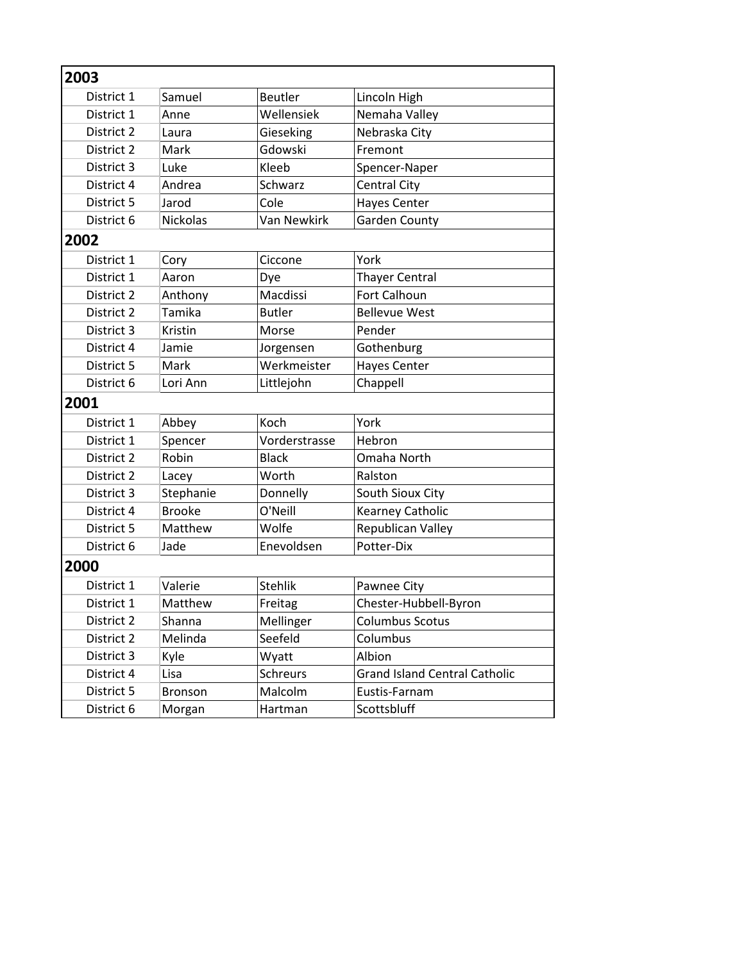| 2003       |               |                 |                                      |  |
|------------|---------------|-----------------|--------------------------------------|--|
| District 1 | Samuel        | <b>Beutler</b>  | Lincoln High                         |  |
| District 1 | Anne          | Wellensiek      | Nemaha Valley                        |  |
| District 2 | Laura         | Gieseking       | Nebraska City                        |  |
| District 2 | Mark          | Gdowski         | Fremont                              |  |
| District 3 | Luke          | Kleeb           | Spencer-Naper                        |  |
| District 4 | Andrea        | Schwarz         | Central City                         |  |
| District 5 | Jarod         | Cole            | <b>Hayes Center</b>                  |  |
| District 6 | Nickolas      | Van Newkirk     | <b>Garden County</b>                 |  |
| 2002       |               |                 |                                      |  |
| District 1 | Cory          | Ciccone         | York                                 |  |
| District 1 | Aaron         | Dye             | <b>Thayer Central</b>                |  |
| District 2 | Anthony       | Macdissi        | Fort Calhoun                         |  |
| District 2 | Tamika        | <b>Butler</b>   | <b>Bellevue West</b>                 |  |
| District 3 | Kristin       | Morse           | Pender                               |  |
| District 4 | Jamie         | Jorgensen       | Gothenburg                           |  |
| District 5 | Mark          | Werkmeister     | <b>Hayes Center</b>                  |  |
| District 6 | Lori Ann      | Littlejohn      | Chappell                             |  |
| 2001       |               |                 |                                      |  |
| District 1 | Abbey         | Koch            | York                                 |  |
| District 1 | Spencer       | Vorderstrasse   | Hebron                               |  |
| District 2 | Robin         | <b>Black</b>    | Omaha North                          |  |
| District 2 | Lacey         | Worth           | Ralston                              |  |
| District 3 | Stephanie     | Donnelly        | South Sioux City                     |  |
| District 4 | <b>Brooke</b> | O'Neill         | Kearney Catholic                     |  |
| District 5 | Matthew       | Wolfe           | Republican Valley                    |  |
| District 6 | Jade          | Enevoldsen      | Potter-Dix                           |  |
| 2000       |               |                 |                                      |  |
| District 1 | Valerie       | <b>Stehlik</b>  | Pawnee City                          |  |
| District 1 | Matthew       | Freitag         | Chester-Hubbell-Byron                |  |
| District 2 | Shanna        | Mellinger       | <b>Columbus Scotus</b>               |  |
| District 2 | Melinda       | Seefeld         | Columbus                             |  |
| District 3 | Kyle          | Wyatt           | Albion                               |  |
| District 4 | Lisa          | <b>Schreurs</b> | <b>Grand Island Central Catholic</b> |  |
| District 5 | Bronson       | Malcolm         | Eustis-Farnam                        |  |
| District 6 | Morgan        | Hartman         | Scottsbluff                          |  |